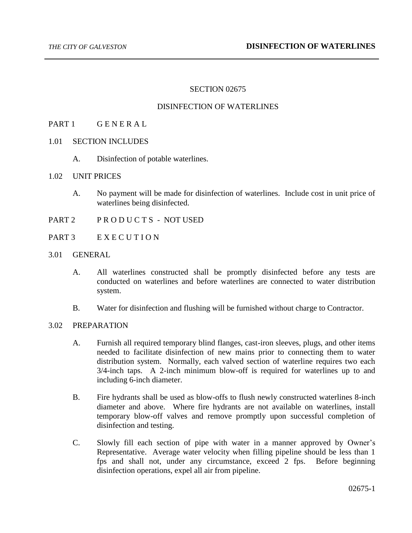# SECTION 02675

### DISINFECTION OF WATERLINES

# PART 1 GENERAL

- 1.01 SECTION INCLUDES
	- A. Disinfection of potable waterlines.
- 1.02 UNIT PRICES
	- A. No payment will be made for disinfection of waterlines. Include cost in unit price of waterlines being disinfected.
- PART 2 PRODUCTS NOT USED
- PART 3 EXECUTION
- 3.01 GENERAL
	- A. All waterlines constructed shall be promptly disinfected before any tests are conducted on waterlines and before waterlines are connected to water distribution system.
	- B. Water for disinfection and flushing will be furnished without charge to Contractor.

#### 3.02 PREPARATION

- A. Furnish all required temporary blind flanges, cast-iron sleeves, plugs, and other items needed to facilitate disinfection of new mains prior to connecting them to water distribution system. Normally, each valved section of waterline requires two each 3/4-inch taps. A 2-inch minimum blow-off is required for waterlines up to and including 6-inch diameter.
- B. Fire hydrants shall be used as blow-offs to flush newly constructed waterlines 8-inch diameter and above. Where fire hydrants are not available on waterlines, install temporary blow-off valves and remove promptly upon successful completion of disinfection and testing.
- C. Slowly fill each section of pipe with water in a manner approved by Owner's Representative. Average water velocity when filling pipeline should be less than 1 fps and shall not, under any circumstance, exceed 2 fps. Before beginning disinfection operations, expel all air from pipeline.